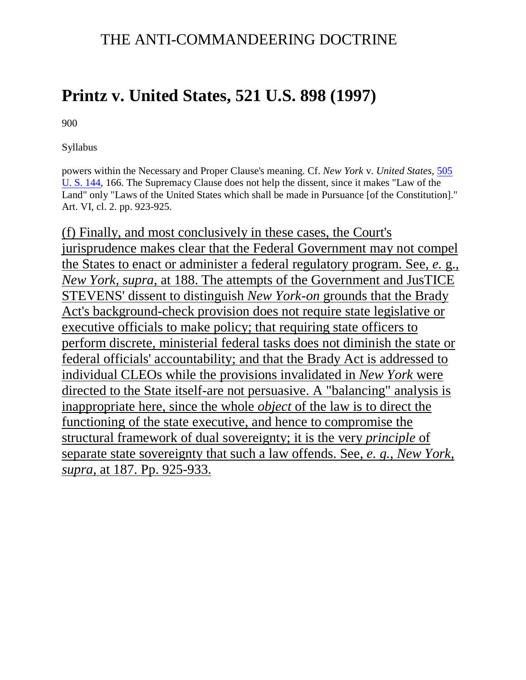## THE ANTI-COMMANDEERING DOCTRINE

## **Printz v. United States, [521 U.S. 898](http://en.wikipedia.org/wiki/Case_citation) (1997)**

900

Syllabus

powers within the Necessary and Proper Clause's meaning. Cf. *New York* v. *United States,* [505](http://supreme.justia.com/cases/federal/us/505/144/case.html)  [U. S. 144,](http://supreme.justia.com/cases/federal/us/505/144/case.html) 166. The Supremacy Clause does not help the dissent, since it makes "Law of the Land" only "Laws of the United States which shall be made in Pursuance [of the Constitution]." Art. VI, cl. 2. pp. 923-925.

(f) Finally, and most conclusively in these cases, the Court's jurisprudence makes clear that the Federal Government may not compel the States to enact or administer a federal regulatory program. See, *e.* g., *New York, supra,* at 188. The attempts of the Government and JusTICE STEVENS' dissent to distinguish *New York-on* grounds that the Brady Act's background-check provision does not require state legislative or executive officials to make policy; that requiring state officers to perform discrete, ministerial federal tasks does not diminish the state or federal officials' accountability; and that the Brady Act is addressed to individual CLEOs while the provisions invalidated in *New York* were directed to the State itself-are not persuasive. A "balancing" analysis is inappropriate here, since the whole *object* of the law is to direct the functioning of the state executive, and hence to compromise the structural framework of dual sovereignty; it is the very *principle* of separate state sovereignty that such a law offends. See, *e. g., New York, supra,* at 187. Pp. 925-933.